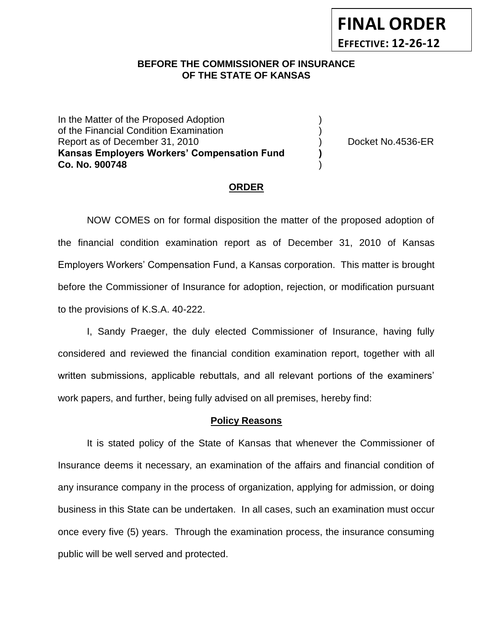## **BEFORE THE COMMISSIONER OF INSURANCE** *-12***OF THE STATE OF KANSAS**

In the Matter of the Proposed Adoption of the Financial Condition Examination ) Report as of December 31, 2010 (and the contract of Decket No.4536-ER **Kansas Employers Workers' Compensation Fund ) Co. No. 900748** )

**FINAL ORDER**

**EFFECTIVE: 12-26-12**

#### **ORDER**

NOW COMES on for formal disposition the matter of the proposed adoption of the financial condition examination report as of December 31, 2010 of Kansas Employers Workers' Compensation Fund, a Kansas corporation. This matter is brought before the Commissioner of Insurance for adoption, rejection, or modification pursuant to the provisions of K.S.A. 40-222.

I, Sandy Praeger, the duly elected Commissioner of Insurance, having fully considered and reviewed the financial condition examination report, together with all written submissions, applicable rebuttals, and all relevant portions of the examiners' work papers, and further, being fully advised on all premises, hereby find:

#### **Policy Reasons**

It is stated policy of the State of Kansas that whenever the Commissioner of Insurance deems it necessary, an examination of the affairs and financial condition of any insurance company in the process of organization, applying for admission, or doing business in this State can be undertaken. In all cases, such an examination must occur once every five (5) years. Through the examination process, the insurance consuming public will be well served and protected.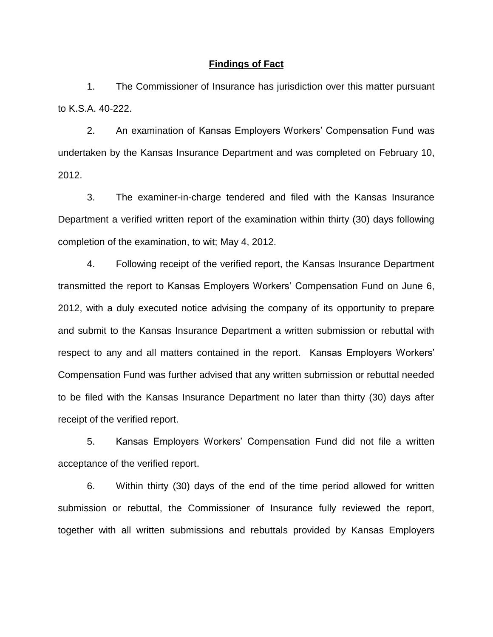#### **Findings of Fact**

1. The Commissioner of Insurance has jurisdiction over this matter pursuant to K.S.A. 40-222.

2. An examination of Kansas Employers Workers' Compensation Fund was undertaken by the Kansas Insurance Department and was completed on February 10, 2012.

3. The examiner-in-charge tendered and filed with the Kansas Insurance Department a verified written report of the examination within thirty (30) days following completion of the examination, to wit; May 4, 2012.

4. Following receipt of the verified report, the Kansas Insurance Department transmitted the report to Kansas Employers Workers' Compensation Fund on June 6, 2012, with a duly executed notice advising the company of its opportunity to prepare and submit to the Kansas Insurance Department a written submission or rebuttal with respect to any and all matters contained in the report. Kansas Employers Workers' Compensation Fund was further advised that any written submission or rebuttal needed to be filed with the Kansas Insurance Department no later than thirty (30) days after receipt of the verified report.

5. Kansas Employers Workers' Compensation Fund did not file a written acceptance of the verified report.

6. Within thirty (30) days of the end of the time period allowed for written submission or rebuttal, the Commissioner of Insurance fully reviewed the report, together with all written submissions and rebuttals provided by Kansas Employers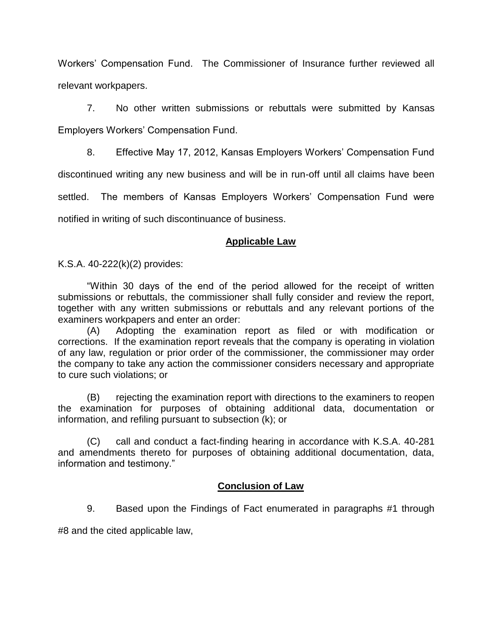Workers' Compensation Fund. The Commissioner of Insurance further reviewed all relevant workpapers.

7. No other written submissions or rebuttals were submitted by Kansas Employers Workers' Compensation Fund.

8. Effective May 17, 2012, Kansas Employers Workers' Compensation Fund discontinued writing any new business and will be in run-off until all claims have been settled. The members of Kansas Employers Workers' Compensation Fund were notified in writing of such discontinuance of business.

## **Applicable Law**

K.S.A. 40-222(k)(2) provides:

"Within 30 days of the end of the period allowed for the receipt of written submissions or rebuttals, the commissioner shall fully consider and review the report, together with any written submissions or rebuttals and any relevant portions of the examiners workpapers and enter an order:

(A) Adopting the examination report as filed or with modification or corrections. If the examination report reveals that the company is operating in violation of any law, regulation or prior order of the commissioner, the commissioner may order the company to take any action the commissioner considers necessary and appropriate to cure such violations; or

(B) rejecting the examination report with directions to the examiners to reopen the examination for purposes of obtaining additional data, documentation or information, and refiling pursuant to subsection (k); or

(C) call and conduct a fact-finding hearing in accordance with K.S.A. 40-281 and amendments thereto for purposes of obtaining additional documentation, data, information and testimony."

# **Conclusion of Law**

9. Based upon the Findings of Fact enumerated in paragraphs #1 through

#8 and the cited applicable law,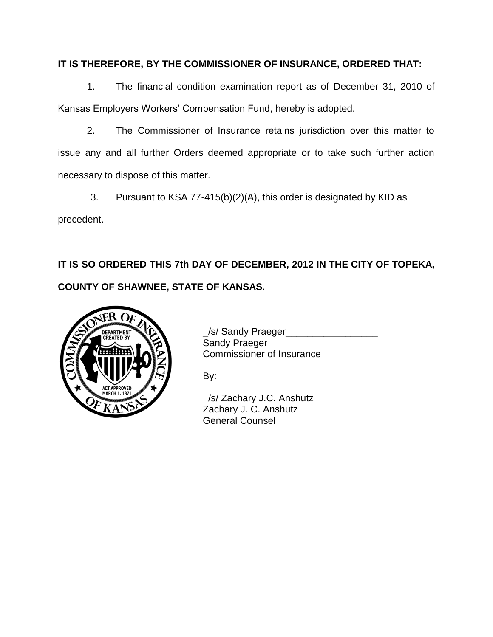# **IT IS THEREFORE, BY THE COMMISSIONER OF INSURANCE, ORDERED THAT:**

1. The financial condition examination report as of December 31, 2010 of Kansas Employers Workers' Compensation Fund, hereby is adopted.

2. The Commissioner of Insurance retains jurisdiction over this matter to issue any and all further Orders deemed appropriate or to take such further action necessary to dispose of this matter.

3. Pursuant to KSA 77-415(b)(2)(A), this order is designated by KID as

precedent.

**IT IS SO ORDERED THIS 7th DAY OF DECEMBER, 2012 IN THE CITY OF TOPEKA, COUNTY OF SHAWNEE, STATE OF KANSAS.**



DEPARTMENT VON J/S/ Sandy Praeger\_\_\_\_\_\_\_\_\_\_\_ Sandy Praeger 7. Commissioner of Insurance

By:

\_/s/ Zachary J.C. Anshutz\_\_\_\_\_\_\_\_\_\_\_\_ Zachary J. C. Anshutz General Counsel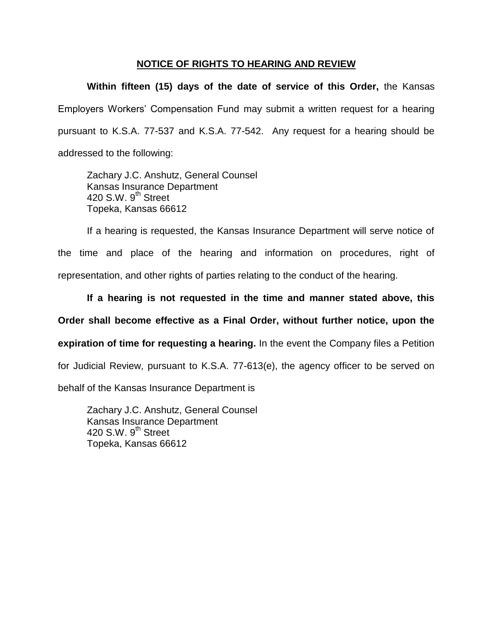### **NOTICE OF RIGHTS TO HEARING AND REVIEW**

**Within fifteen (15) days of the date of service of this Order,** the Kansas Employers Workers' Compensation Fund may submit a written request for a hearing pursuant to K.S.A. 77-537 and K.S.A. 77-542. Any request for a hearing should be addressed to the following:

Zachary J.C. Anshutz, General Counsel Kansas Insurance Department 420 S.W.  $9^{th}$  Street Topeka, Kansas 66612

If a hearing is requested, the Kansas Insurance Department will serve notice of the time and place of the hearing and information on procedures, right of representation, and other rights of parties relating to the conduct of the hearing.

**If a hearing is not requested in the time and manner stated above, this Order shall become effective as a Final Order, without further notice, upon the expiration of time for requesting a hearing.** In the event the Company files a Petition for Judicial Review, pursuant to K.S.A. 77-613(e), the agency officer to be served on behalf of the Kansas Insurance Department is

Zachary J.C. Anshutz, General Counsel Kansas Insurance Department 420 S.W. 9<sup>th</sup> Street Topeka, Kansas 66612